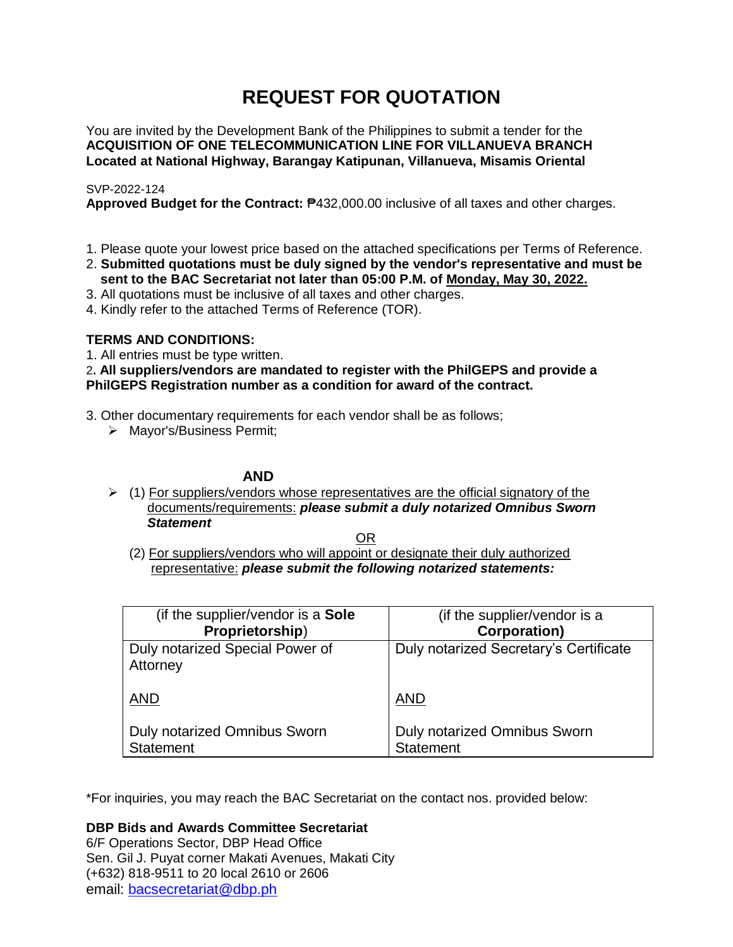# **REQUEST FOR QUOTATION**

You are invited by the Development Bank of the Philippines to submit a tender for the **ACQUISITION OF ONE TELECOMMUNICATION LINE FOR VILLANUEVA BRANCH Located at National Highway, Barangay Katipunan, Villanueva, Misamis Oriental**

# SVP-2022-124

**Approved Budget for the Contract:** ₱432,000.00 inclusive of all taxes and other charges.

- 1. Please quote your lowest price based on the attached specifications per Terms of Reference.
- 2. **Submitted quotations must be duly signed by the vendor's representative and must be sent to the BAC Secretariat not later than 05:00 P.M. of Monday, May 30, 2022.**
- 3. All quotations must be inclusive of all taxes and other charges.
- 4. Kindly refer to the attached Terms of Reference (TOR).

# **TERMS AND CONDITIONS:**

1. All entries must be type written.

2**. All suppliers/vendors are mandated to register with the PhilGEPS and provide a PhilGEPS Registration number as a condition for award of the contract.**

- 3. Other documentary requirements for each vendor shall be as follows;
	- > Mayor's/Business Permit;

# **AND**

 $\geq$  (1) For suppliers/vendors whose representatives are the official signatory of the documents/requirements: *please submit a duly notarized Omnibus Sworn Statement*

<u>OR Starting and the Starting OR Starting</u>

(2) For suppliers/vendors who will appoint or designate their duly authorized representative: *please submit the following notarized statements:*

| (if the supplier/vendor is a Sole                | (if the supplier/vendor is a                     |
|--------------------------------------------------|--------------------------------------------------|
| Proprietorship)                                  | <b>Corporation)</b>                              |
| Duly notarized Special Power of<br>Attorney      | Duly notarized Secretary's Certificate           |
| <b>AND</b>                                       | <b>AND</b>                                       |
| Duly notarized Omnibus Sworn<br><b>Statement</b> | Duly notarized Omnibus Sworn<br><b>Statement</b> |

\*For inquiries, you may reach the BAC Secretariat on the contact nos. provided below:

**DBP Bids and Awards Committee Secretariat** 

6/F Operations Sector, DBP Head Office Sen. Gil J. Puyat corner Makati Avenues, Makati City (+632) 818-9511 to 20 local 2610 or 2606 email: [bacsecretariat@dbp.ph](mailto:bacsecretariat@dbp.ph)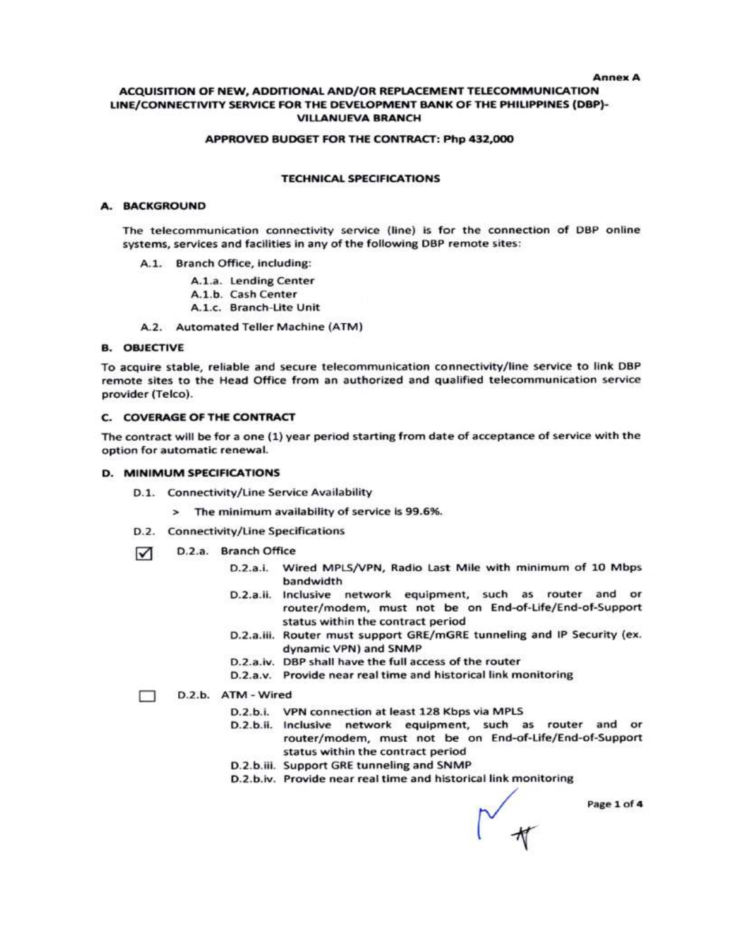#### **Anney A**

#### ACQUISITION OF NEW, ADDITIONAL AND/OR REPLACEMENT TELECOMMUNICATION LINE/CONNECTIVITY SERVICE FOR THE DEVELOPMENT BANK OF THE PHILIPPINES (DBP)-**VILLANUEVA BRANCH**

#### APPROVED BUDGET FOR THE CONTRACT: Php 432,000

#### **TECHNICAL SPECIFICATIONS**

#### A. BACKGROUND

The telecommunication connectivity service (line) is for the connection of DBP online systems, services and facilities in any of the following DBP remote sites:

A.1. Branch Office, including:

A.1.a. Lending Center

A.1.b. Cash Center

A.1.c. Branch-Lite Unit

A.2. Automated Teller Machine (ATM)

#### **B. OBJECTIVE**

To acquire stable, reliable and secure telecommunication connectivity/line service to link DBP remote sites to the Head Office from an authorized and qualified telecommunication service provider (Telco).

#### **C. COVERAGE OF THE CONTRACT**

The contract will be for a one (1) year period starting from date of acceptance of service with the option for automatic renewal.

#### D. MINIMUM SPECIFICATIONS

- D.1. Connectivity/Line Service Availability
	- > The minimum availability of service is 99.6%.
- D.2. Connectivity/Line Specifications
- D.2.a. Branch Office ☑
	- D.2.a.i. Wired MPLS/VPN, Radio Last Mile with minimum of 10 Mbps bandwidth
	- D.2.a.ii. Inclusive network equipment, such as router and or router/modem, must not be on End-of-Life/End-of-Support status within the contract period
	- D.2.a.iii. Router must support GRE/mGRE tunneling and IP Security (ex. dynamic VPN) and SNMP
	- D.2.a.iv. DBP shall have the full access of the router
	- D.2.a.v. Provide near real time and historical link monitoring

#### D.2.b. ATM - Wired п.

- D.2.b.i. VPN connection at least 128 Kbps via MPLS
- D.2.b.ii. Inclusive network equipment, such as router and or router/modem, must not be on End-of-Life/End-of-Support status within the contract period
- D.2.b.iii. Support GRE tunneling and SNMP
- D.2.b.iv. Provide near real time and historical link monitoring

Page 1 of 4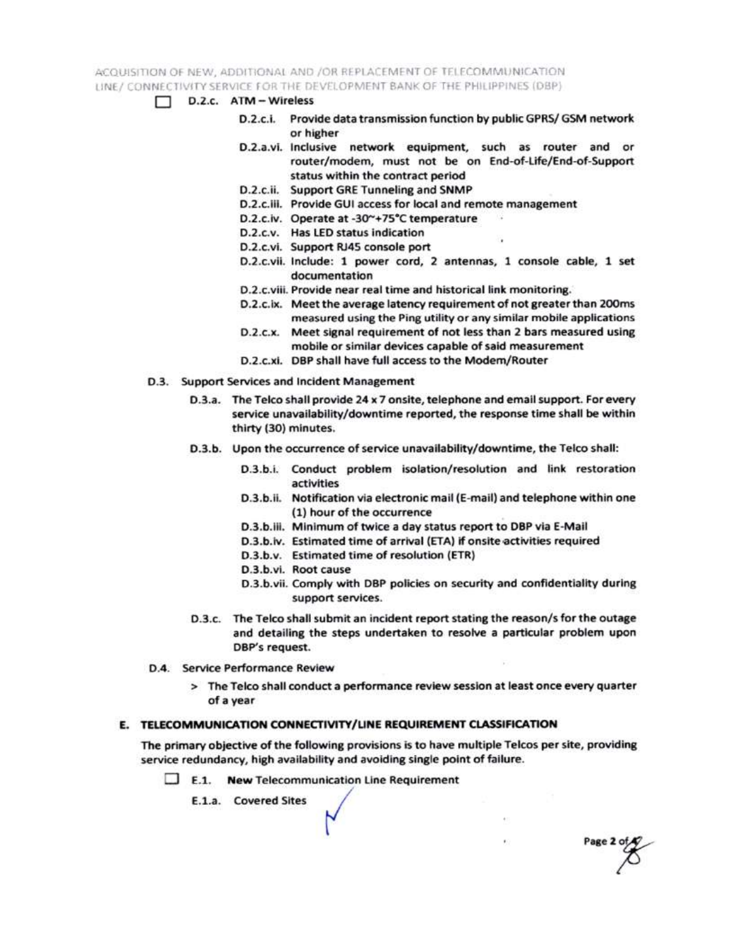ACQUISITION OF NEW, ADDITIONAL AND /OR REPLACEMENT OF TELECOMMUNICATION LINE / CONNECTIVITY SERVICE FOR THE DEVELOPMENT BANK OF THE PHILIPPINES (DBP)

- $\Box$  D.2.c.  $ATM Wireless$ 
	- D.2.c.i. Provide data transmission function by public GPRS/ GSM network or higher
	- D.2.a.vi. Inclusive network equipment, such as router and or router/modem, must not be on End-of-Life/End-of-Support status within the contract period
	- D.2.c.ii. Support GRE Tunneling and SNMP
	- D.2.c.iii. Provide GUI access for local and remote management
	- D.2.c.iv. Operate at -30~+75°C temperature
	- D.2.c.v. Has LED status indication
	- D.2.c.vi. Support RJ45 console port
	- D.2.c.vii. Include: 1 power cord, 2 antennas, 1 console cable, 1 set documentation
	- D.2.c.viii. Provide near real time and historical link monitoring.
	- D.2.c.ix. Meet the average latency requirement of not greater than 200ms measured using the Ping utility or any similar mobile applications
	- D.2.c.x. Meet signal requirement of not less than 2 bars measured using mobile or similar devices capable of said measurement
	- D.2.c.xi. DBP shall have full access to the Modem/Router
- D.3. Support Services and Incident Management
	- D.3.a. The Telco shall provide 24 x 7 onsite, telephone and email support. For every service unavailability/downtime reported, the response time shall be within thirty (30) minutes.
	- D.3.b. Upon the occurrence of service unavailability/downtime, the Telco shall:
		- D.3.b.i. Conduct problem isolation/resolution and link restoration activities
		- D.3.b.ii. Notification via electronic mail (E-mail) and telephone within one (1) hour of the occurrence
		- D.3.b.iii. Minimum of twice a day status report to DBP via E-Mail
		- D.3.b.iv. Estimated time of arrival (ETA) if onsite activities required
		- D.3.b.v. Estimated time of resolution (ETR)
		- D.3.b.vi. Root cause
		- D.3.b.vii. Comply with DBP policies on security and confidentiality during support services.

Page 2 of

- D.3.c. The Telco shall submit an incident report stating the reason/s for the outage and detailing the steps undertaken to resolve a particular problem upon DBP's request.
- D.4. Service Performance Review
	- > The Telco shall conduct a performance review session at least once every quarter of a year

### E. TELECOMMUNICATION CONNECTIVITY/LINE REQUIREMENT CLASSIFICATION

The primary objective of the following provisions is to have multiple Telcos per site, providing service redundancy, high availability and avoiding single point of failure.

 $\Box$  E.1. New Telecommunication Line Requirement

E.1.a. Covered Sites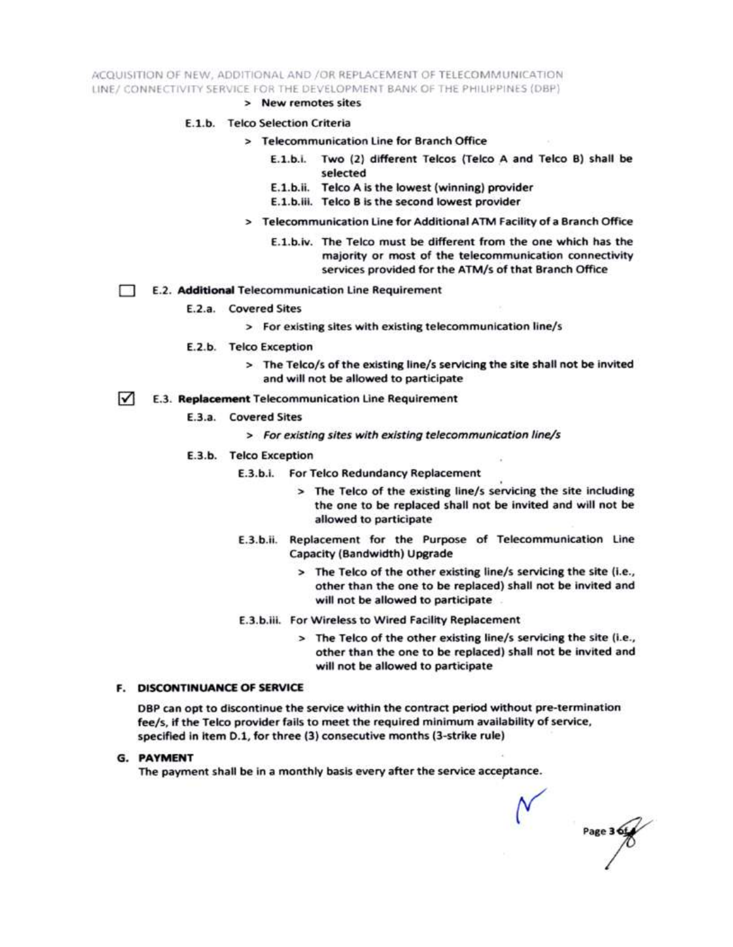ACQUISITION OF NEW, ADDITIONAL AND /OR REPLACEMENT OF TELECOMMUNICATION LINE/ CONNECTIVITY SERVICE FOR THE DEVELOPMENT BANK OF THE PHILIPPINES (DBP)

> New remotes sites

#### E.1.b. Telco Selection Criteria

- > Telecommunication Line for Branch Office
	- E.1.b.i. Two (2) different Telcos (Telco A and Telco B) shall be selected
	- E.1.b.ii. Telco A is the lowest (winning) provider
	- E.1.b.iii. Telco B is the second lowest provider
- > Telecommunication Line for Additional ATM Facility of a Branch Office
	- E.1.b.iv. The Telco must be different from the one which has the majority or most of the telecommunication connectivity services provided for the ATM/s of that Branch Office
- E.2. Additional Telecommunication Line Requirement Ð
	- E.2.a. Covered Sites
		- > For existing sites with existing telecommunication line/s
	- E.2.b. Telco Exception
		- > The Telco/s of the existing line/s servicing the site shall not be invited and will not be allowed to participate
- $\sqrt{ }$ E.3. Replacement Telecommunication Line Requirement
	- E.3.a. Covered Sites
		- > For existing sites with existing telecommunication line/s
	- E.3.b. Telco Exception
		- E.3.b.i. For Telco Redundancy Replacement
			- > The Telco of the existing line/s servicing the site including the one to be replaced shall not be invited and will not be allowed to participate
		- E.3.b.ii. Replacement for the Purpose of Telecommunication Line Capacity (Bandwidth) Upgrade
			- > The Telco of the other existing line/s servicing the site (i.e., other than the one to be replaced) shall not be invited and will not be allowed to participate
		- E.3.b.iii. For Wireless to Wired Facility Replacement
			- > The Telco of the other existing line/s servicing the site (i.e., other than the one to be replaced) shall not be invited and will not be allowed to participate

#### **F. DISCONTINUANCE OF SERVICE**

DBP can opt to discontinue the service within the contract period without pre-termination fee/s, if the Telco provider fails to meet the required minimum availability of service, specified in item D.1, for three (3) consecutive months (3-strike rule)

**G. PAYMENT** 

The payment shall be in a monthly basis every after the service acceptance.

Page 3 6t